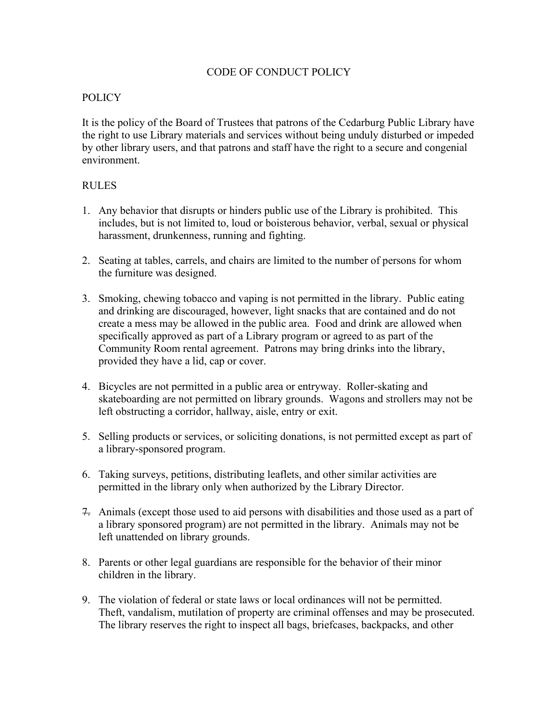## CODE OF CONDUCT POLICY

## **POLICY**

It is the policy of the Board of Trustees that patrons of the Cedarburg Public Library have the right to use Library materials and services without being unduly disturbed or impeded by other library users, and that patrons and staff have the right to a secure and congenial environment.

## RULES

- 1. Any behavior that disrupts or hinders public use of the Library is prohibited. This includes, but is not limited to, loud or boisterous behavior, verbal, sexual or physical harassment, drunkenness, running and fighting.
- 2. Seating at tables, carrels, and chairs are limited to the number of persons for whom the furniture was designed.
- 3. Smoking, chewing tobacco and vaping is not permitted in the library. Public eating and drinking are discouraged, however, light snacks that are contained and do not create a mess may be allowed in the public area. Food and drink are allowed when specifically approved as part of a Library program or agreed to as part of the Community Room rental agreement. Patrons may bring drinks into the library, provided they have a lid, cap or cover.
- 4. Bicycles are not permitted in a public area or entryway. Roller-skating and skateboarding are not permitted on library grounds. Wagons and strollers may not be left obstructing a corridor, hallway, aisle, entry or exit.
- 5. Selling products or services, or soliciting donations, is not permitted except as part of a library-sponsored program.
- 6. Taking surveys, petitions, distributing leaflets, and other similar activities are permitted in the library only when authorized by the Library Director.
- 7. Animals (except those used to aid persons with disabilities and those used as a part of a library sponsored program) are not permitted in the library. Animals may not be left unattended on library grounds.
- 8. Parents or other legal guardians are responsible for the behavior of their minor children in the library.
- 9. The violation of federal or state laws or local ordinances will not be permitted. Theft, vandalism, mutilation of property are criminal offenses and may be prosecuted. The library reserves the right to inspect all bags, briefcases, backpacks, and other